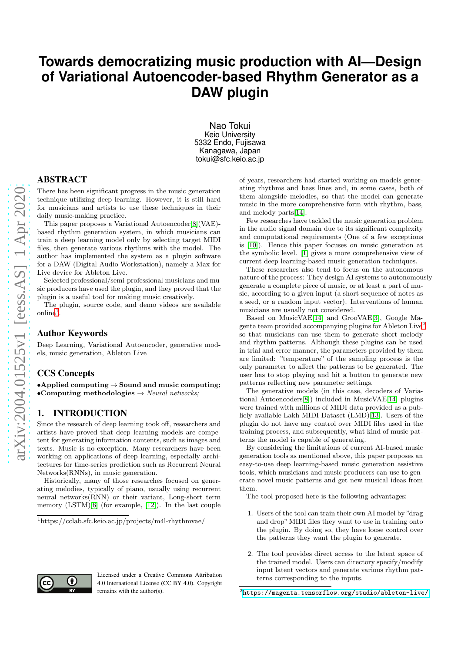# **Towards democratizing music production with AI—Design of Variational Autoencoder-based Rhythm Generator as a DAW plugin**

Nao Tokui Keio University 5332 Endo, Fujisawa Kanagawa, Japan tokui@sfc.keio.ac.jp

#### ABSTRACT

There has been significant progress in the music generation technique utilizing deep learning. However, it is still hard for musicians and artists to use these techniques in their daily music-making practice.

This paper proposes a Variational Autoencoder[\[8\]](#page-3-0)(VAE) based rhythm generation system, in which musicians can train a deep learning model only by selecting target MIDI files, then generate various rhythms with the model. The author has implemented the system as a plugin software for a DAW (Digital Audio Workstation), namely a Max for Live device for Ableton Live.

Selected professional/semi-professional musicians and music producers have used the plugin, and they proved that the plugin is a useful tool for making music creatively.

The plugin, source code, and demo videos are available online<sup>[1](#page-0-0)</sup> .

#### Author Keywords

Deep Learning, Variational Autoencoder, generative models, music generation, Ableton Live

# CCS Concepts

•Applied computing  $\rightarrow$  Sound and music computing; •Computing methodologies  $\rightarrow$  *Neural networks*;

## 1. INTRODUCTION

Since the research of deep learning took off, researchers and artists have proved that deep learning models are competent for generating information contents, such as images and texts. Music is no exception. Many researchers have been working on applications of deep learning, especially architectures for time-series prediction such as Recurrent Neural Networks(RNNs), in music generation.

Historically, many of those researches focused on generating melodies, typically of piano, usually using recurrent neural networks(RNN) or their variant, Long-short term memory (LSTM)[\[6\]](#page-3-1) (for example, [\[12\]](#page-3-2)). In the last couple

Licensed under a Creative Commons Attribution 4.0 International License (CC BY 4.0). Copyright remains with the author(s).

of years, researchers had started working on models generating rhythms and bass lines and, in some cases, both of them alongside melodies, so that the model can generate music in the more comprehensive form with rhythm, bass, and melody parts[\[14\]](#page-3-3).

Few researches have tackled the music generation problem in the audio signal domain due to its significant complexity and computational requirements (One of a few exceptions is [\[10\]](#page-3-4)). Hence this paper focuses on music generation at the symbolic level. [\[1\]](#page-3-5) gives a more comprehensive view of current deep learning-based music generation techniques.

These researches also tend to focus on the autonomous nature of the process: They design AI systems to autonomously generate a complete piece of music, or at least a part of music, according to a given input (a short sequence of notes as a seed, or a random input vector). Interventions of human musicians are usually not considered.

Based on MusicVAE[\[14\]](#page-3-3) and GrooVAE[\[3\]](#page-3-6), Google Magenta team provided accompanying plugins for Ableton Live[2](#page-0-1) so that musicians can use them to generate short melody and rhythm patterns. Although these plugins can be used in trial and error manner, the parameters provided by them are limited: "temperature" of the sampling process is the only parameter to affect the patterns to be generated. The user has to stop playing and hit a button to generate new patterns reflecting new parameter settings.

The generative models (in this case, decoders of Variational Autoencoders[\[8\]](#page-3-0)) included in MusicVAE[\[14\]](#page-3-3) plugins were trained with millions of MIDI data provided as a publicly available Lakh MIDI Dataset (LMD)[\[13\]](#page-3-7). Users of the plugin do not have any control over MIDI files used in the training process, and subsequently, what kind of music patterns the model is capable of generating.

By considering the limitations of current AI-based music generation tools as mentioned above, this paper proposes an easy-to-use deep learning-based music generation assistive tools, which musicians and music producers can use to generate novel music patterns and get new musical ideas from them.

The tool proposed here is the following advantages:

- 1. Users of the tool can train their own AI model by "drag and drop"MIDI files they want to use in training onto the plugin. By doing so, they have loose control over the patterns they want the plugin to generate.
- 2. The tool provides direct access to the latent space of the trained model. Users can directory specify/modify input latent vectors and generate various rhythm patterns corresponding to the inputs.



<span id="page-0-0"></span><sup>1</sup> https://cclab.sfc.keio.ac.jp/projects/m4l-rhythmvae/

<span id="page-0-1"></span> $^{2}$ <https://magenta.tensorflow.org/studio/ableton-live/>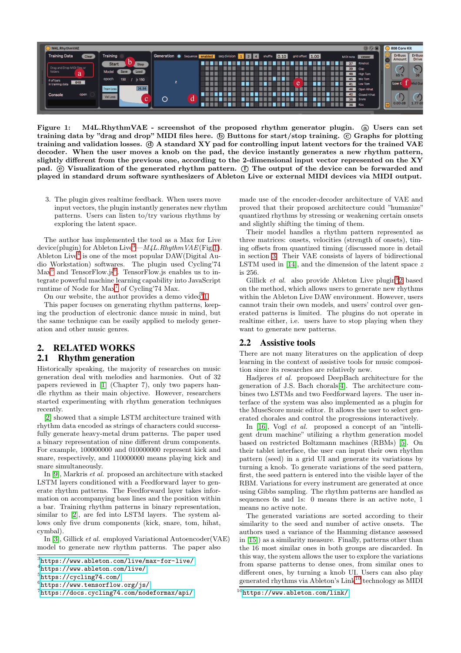

<span id="page-1-1"></span>Figure 1: M4L.RhythmVAE - screenshot of the proposed rhythm generator plugin. @ Users can set training data by "drag and drop" MIDI files here.  $\circledD$  Buttons for start/stop training.  $\circledC$  Graphs for plotting training and validation losses. d A standard XY pad for controlling input latent vectors for the trained VAE decoder. When the user moves a knob on the pad, the device instantly generates a new rhythm pattern, slightly different from the previous one, according to the 2-dimensional input vector represented on the XY pad.  $\circledcirc$  Visualization of the generated rhythm pattern.  $\circledcirc$  The output of the device can be forwarded and played in standard drum software synthesizers of Ableton Live or external MIDI devices via MIDI output.

3. The plugin gives realtime feedback. When users move input vectors, the plugin instantly generates new rhythm patterns. Users can listen to/try various rhythms by exploring the latent space.

The author has implemented the tool as a Max for Live device(plugin) for Ableton Live<sup>[3](#page-1-0)</sup>— $M_4L.RhythmVAE$ (Fig[.1\)](#page-1-1). Ableton Live<sup>[4](#page-1-2)</sup> is one of the most popular DAW(Digital Audio Workstation) softwares. The plugin used Cycling'74 Max<sup>[5](#page-1-3)</sup> and TensorFlow.js<sup>[6](#page-1-4)</sup>. TensorFlow.js enables us to integrate powerful machine learning capability into JavaScript runtime of Node for Max<sup>[7](#page-1-5)</sup> of Cycling'74 Max.

On our website, the author provides a demo video $81$ .

This paper focuses on generating rhythm patterns, keeping the production of electronic dance music in mind, but the same technique can be easily applied to melody generation and other music genres.

# 2. RELATED WORKS 2.1 Rhythm generation

Historically speaking, the majority of researches on music generation deal with melodies and harmonies. Out of 32 papers reviewed in [\[1\]](#page-3-5) (Chapter 7), only two papers handle rhythm as their main objective. However, researchers started experimenting with rhythm generation techniques recently.

[\[2\]](#page-3-8) showed that a simple LSTM architecture trained with rhythm data encoded as strings of characters could successfully generate heavy-metal drum patterns. The paper used a binary representation of nine different drum components. For example, 100000000 and 010000000 represent kick and snare, respectively, and 110000000 means playing kick and snare simultaneously.

In [\[9\]](#page-3-9), Markris et al. proposed an architecture with stacked LSTM layers conditioned with a Feedforward layer to generate rhythm patterns. The Feedforward layer takes information on accompanying bass lines and the position within a bar. Training rhythm patterns in binary representation, similar to [\[2\]](#page-3-8), are fed into LSTM layers. The system allows only five drum components (kick, snare, tom, hihat, cymbal).

In [\[3\]](#page-3-6), Gillick et al. employed Variational Autoencoder(VAE) model to generate new rhythm patterns. The paper also

```
4
https://www.ableton.com/live/
```
made use of the encoder-decoder architecture of VAE and proved that their proposed architecture could "humanize" quantized rhythms by stressing or weakening certain onsets and slightly shifting the timing of them.

Their model handles a rhythm pattern represented as three matrices: onsets, velocities (strength of onsets), timing offsets from quantized timing (discussed more in detail in section [3.](#page-2-0) Their VAE consists of layers of bidirectional LSTM used in [\[14\]](#page-3-3), and the dimension of the latent space z is 256.

Gillick *et al.* also provide Ableton Live plugin<sup>9</sup>[2](#page-0-1) based on the method, which allows users to generate new rhythms within the Ableton Live DAW environment. However, users cannot train their own models, and users' control over generated patterns is limited. The plugins do not operate in realtime either, i.e. users have to stop playing when they want to generate new patterns.

#### 2.2 Assistive tools

There are not many literatures on the application of deep learning in the context of assistive tools for music composition since its researches are relatively new.

Hadjeres et al. proposed DeepBach architecture for the generation of J.S. Bach chorals[\[4\]](#page-3-10). The architecture combines two LSTMs and two Feedforward layers. The user interface of the system was also implemented as a plugin for the MuseScore music editor. It allows the user to select generated chorales and control the progressions interactively.

In [\[16\]](#page-3-11), Vogl *et al.* proposed a concept of an "intelligent drum machine" utilizing a rhythm generation model based on restricted Boltzmann machines (RBMs) [\[5\]](#page-3-12). On their tablet interface, the user can input their own rhythm pattern (seed) in a grid UI and generate its variations by turning a knob. To generate variations of the seed pattern, first, the seed pattern is entered into the visible layer of the RBM. Variations for every instrument are generated at once using Gibbs sampling. The rhythm patterns are handled as sequences 0s and 1s: 0 means there is an active note, 1 means no active note.

The generated variations are sorted according to their similarity to the seed and number of active onsets. The authors used a variance of the Hamming distance assessed in [\[15\]](#page-3-13)) as a similarity measure. Finally, patterns other than the 16 most similar ones in both groups are discarded. In this way, the system allows the user to explore the variations from sparse patterns to dense ones, from similar ones to different ones, by turning a knob UI. Users can also play generated rhythms via Ableton's Link<sup>[10](#page-1-6)</sup> technology as MIDI

 $3$ <https://www.ableton.com/live/max-for-live/>

<span id="page-1-2"></span><sup>5&</sup>lt;br><https://cycling74.com/>

<span id="page-1-3"></span><sup>6</sup> <https://www.tensorflow.org/js/>

<span id="page-1-5"></span><span id="page-1-4"></span><sup>7</sup> <https://docs.cycling74.com/nodeformax/api/>

<span id="page-1-6"></span> $10$ <https://www.ableton.com/link/>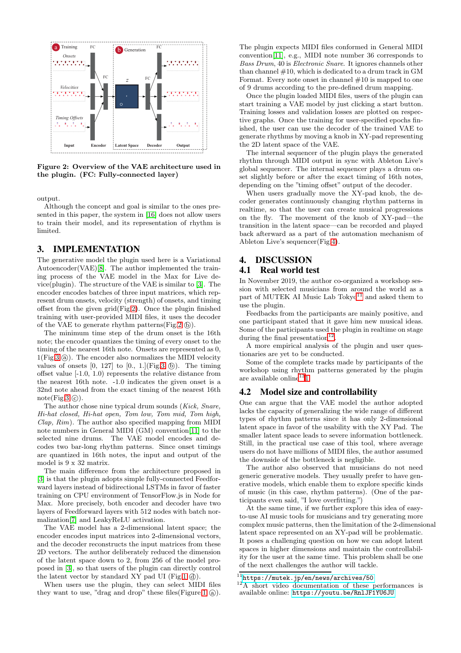

<span id="page-2-1"></span>Figure 2: Overview of the VAE architecture used in the plugin. (FC: Fully-connected layer)

output.

Although the concept and goal is similar to the ones presented in this paper, the system in [\[16\]](#page-3-11) does not allow users to train their model, and its representation of rhythm is limited.

### <span id="page-2-0"></span>3. IMPLEMENTATION

The generative model the plugin used here is a Variational Autoencoder(VAE)[\[8\]](#page-3-0). The author implemented the training process of the VAE model in the Max for Live device(plugin). The structure of the VAE is similar to [\[3\]](#page-3-6). The encoder encodes batches of three input matrices, which represent drum onsets, velocity (strength) of onsets, and timing offset from the given grid(Fig[.2\)](#page-2-1). Once the plugin finished training with user-provided MIDI files, it uses the decoder of the VAE to generate rhythm patterns  $(Fig.2 \oplus)$  $(Fig.2 \oplus)$  $(Fig.2 \oplus)$ .

The minimum time step of the drum onset is the 16th note; the encoder quantizes the timing of every onset to the timing of the nearest 16th note. Onsets are represented as 0,  $1(Fig.3 \text{ (a)}).$  $1(Fig.3 \text{ (a)}).$  $1(Fig.3 \text{ (a)}).$  The encoder also normalizes the MIDI velocity values of onsets  $[0, 127]$  to  $[0, 1.]($  Fig[.3](#page-3-14)  $(\text{b})$ . The timing offset value [-1.0, 1.0) represents the relative distance from the nearest 16th note. -1.0 indicates the given onset is a 32nd note ahead from the exact timing of the nearest 16th  $note(Fig.3)$  $note(Fig.3)$  $note(Fig.3)$ .

The author chose nine typical drum sounds (Kick, Snare, Hi-hat closed, Hi-hat open, Tom low, Tom mid, Tom high,  $Clap. Rim$ ). The author also specified mapping from MIDI note numbers in General MIDI (GM) convention[\[11\]](#page-3-15) to the selected nine drums. The VAE model encodes and decodes two bar-long rhythm patterns. Since onset timings are quantized in 16th notes, the input and output of the model is 9 x 32 matrix.

The main difference from the architecture proposed in [\[3\]](#page-3-6) is that the plugin adopts simple fully-connected Feedforward layers instead of bidirectional LSTMs in favor of faster training on CPU environment of TensorFlow.js in Node for Max. More precisely, both encoder and decoder have two layers of Feedforward layers with 512 nodes with batch normalization[\[7\]](#page-3-16) and LeakyReLU activation.

The VAE model has a 2-dimensional latent space; the encoder encodes input matrices into 2-dimensional vectors, and the decoder reconstructs the input matrices from these 2D vectors. The author deliberately reduced the dimension of the latent space down to 2, from 256 of the model proposed in [\[3\]](#page-3-6), so that users of the plugin can directly control the latent vector by standard  $XY$  pad UI (Fig[.1](#page-1-1)  $\phi$ ).

When users use the plugin, they can select MIDI files they want to use, "drag and drop" these files (Figure[.1](#page-1-1)  $(a)$ ). The plugin expects MIDI files conformed in General MIDI convention[\[11\]](#page-3-15), e.g., MIDI note number 36 corresponds to Bass Drum, 40 is Electronic Snare. It ignores channels other than channel #10, which is dedicated to a drum track in GM Format. Every note onset in channel  $#10$  is mapped to one of 9 drums according to the pre-defined drum mapping.

Once the plugin loaded MIDI files, users of the plugin can start training a VAE model by just clicking a start button. Training losses and validation losses are plotted on respective graphs. Once the training for user-specified epochs finished, the user can use the decoder of the trained VAE to generate rhythms by moving a knob in XY-pad representing the 2D latent space of the VAE.

The internal sequencer of the plugin plays the generated rhythm through MIDI output in sync with Ableton Live's global sequencer. The internal sequencer plays a drum onset slightly before or after the exact timing of 16th notes, depending on the "timing offset" output of the decoder.

When users gradually move the XY-pad knob, the decoder generates continuously changing rhythm patterns in realtime, so that the user can create musical progressions on the fly. The movement of the knob of XY-pad—the transition in the latent space—can be recorded and played back afterward as a part of the automation mechanism of Ableton Live's sequencer(Fig[.4\)](#page-3-17).

#### 4. DISCUSSION 4.1 Real world test

In November 2019, the author co-organized a workshop session with selected musicians from around the world as a part of MUTEK AI Music Lab Tokyo $11$  and asked them to use the plugin.

Feedbacks from the participants are mainly positive, and one participant stated that it gave him new musical ideas. Some of the participants used the plugin in realtime on stage during the final presentation<sup>[12](#page-2-3)</sup>.

A more empirical analysis of the plugin and user questionaries are yet to be conducted.

Some of the complete tracks made by participants of the workshop using rhythm patterns generated by the plugin are available online<sup>13</sup>[1.](#page-0-0)

#### 4.2 Model size and controllability

One can argue that the VAE model the author adopted lacks the capacity of generalizing the wide range of different types of rhythm patterns since it has only 2-dimensional latent space in favor of the usability with the XY Pad. The smaller latent space leads to severe information bottleneck. Still, in the practical use case of this tool, where average users do not have millions of MIDI files, the author assumed the downside of the bottleneck is negligible.

The author also observed that musicians do not need generic generative models. They usually prefer to have generative models, which enable them to explore specific kinds of music (in this case, rhythm patterns). (One of the participants even said, "I love overfitting.")

At the same time, if we further explore this idea of easyto-use AI music tools for musicians and try generating more complex music patterns, then the limitation of the 2-dimensional latent space represented on an XY-pad will be problematic. It poses a challenging question on how we can adopt latent spaces in higher dimensions and maintain the controllability for the user at the same time. This problem shall be one of the next challenges the author will tackle.

 $\overline{^{11}}$ <https://mutek.jp/en/news/archives/50>

<span id="page-2-3"></span><span id="page-2-2"></span> $12A$  short video documentation of these performances is available online: <https://youtu.be/RnlJF1YU6JU>